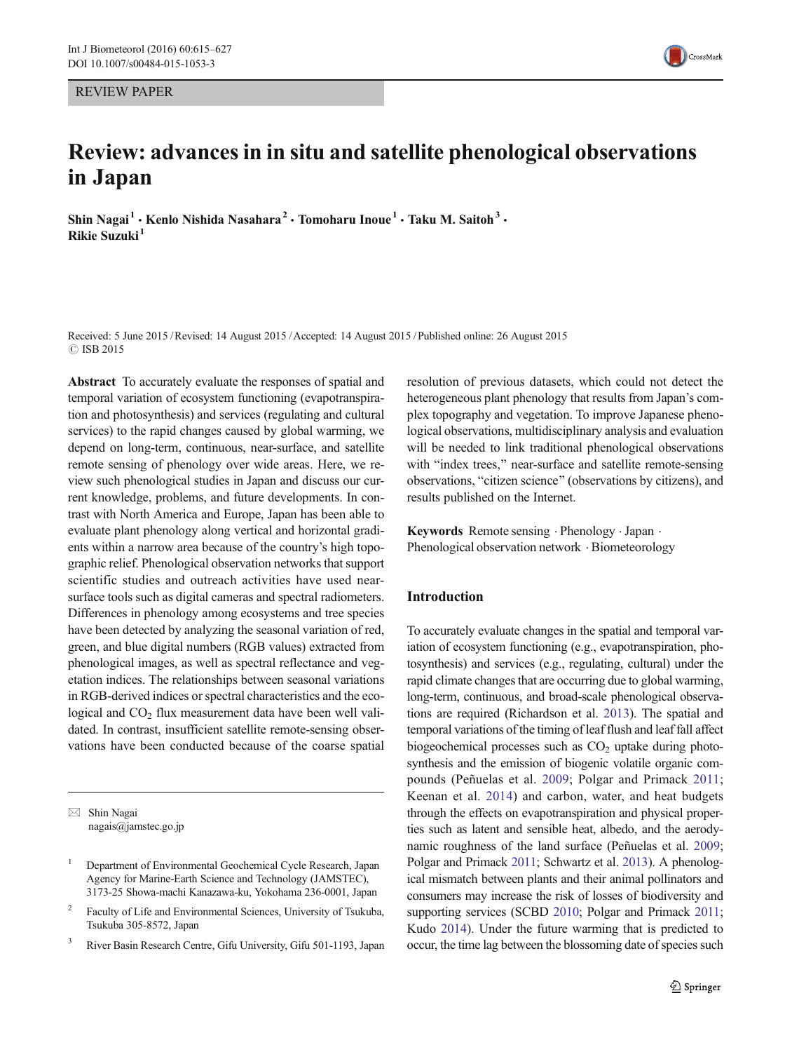REVIEW PAPER

# Review: advances in in situ and satellite phenological observations in Japan

Shin Nagai<sup>1</sup> • Kenlo Nishida Nasahara<sup>2</sup> • Tomoharu Inoue<sup>1</sup> • Taku M. Saitoh<sup>3</sup> • Rikie Suzuki<sup>1</sup>

Received: 5 June 2015 /Revised: 14 August 2015 /Accepted: 14 August 2015 / Published online: 26 August 2015 © ISB 2015

Abstract To accurately evaluate the responses of spatial and temporal variation of ecosystem functioning (evapotranspiration and photosynthesis) and services (regulating and cultural services) to the rapid changes caused by global warming, we depend on long-term, continuous, near-surface, and satellite remote sensing of phenology over wide areas. Here, we review such phenological studies in Japan and discuss our current knowledge, problems, and future developments. In contrast with North America and Europe, Japan has been able to evaluate plant phenology along vertical and horizontal gradients within a narrow area because of the country's high topographic relief. Phenological observation networks that support scientific studies and outreach activities have used nearsurface tools such as digital cameras and spectral radiometers. Differences in phenology among ecosystems and tree species have been detected by analyzing the seasonal variation of red, green, and blue digital numbers (RGB values) extracted from phenological images, as well as spectral reflectance and vegetation indices. The relationships between seasonal variations in RGB-derived indices or spectral characteristics and the ecological and  $CO<sub>2</sub>$  flux measurement data have been well validated. In contrast, insufficient satellite remote-sensing observations have been conducted because of the coarse spatial

 $\boxtimes$  Shin Nagai nagais@jamstec.go.jp

- <sup>2</sup> Faculty of Life and Environmental Sciences, University of Tsukuba, Tsukuba 305-8572, Japan
- <sup>3</sup> River Basin Research Centre, Gifu University, Gifu 501-1193, Japan

resolution of previous datasets, which could not detect the heterogeneous plant phenology that results from Japan's complex topography and vegetation. To improve Japanese phenological observations, multidisciplinary analysis and evaluation will be needed to link traditional phenological observations with "index trees," near-surface and satellite remote-sensing observations, "citizen science" (observations by citizens), and results published on the Internet.

Keywords Remote sensing . Phenology .Japan . Phenological observation network . Biometeorology

# Introduction

To accurately evaluate changes in the spatial and temporal variation of ecosystem functioning (e.g., evapotranspiration, photosynthesis) and services (e.g., regulating, cultural) under the rapid climate changes that are occurring due to global warming, long-term, continuous, and broad-scale phenological observations are required (Richardson et al. [2013](#page-12-0)). The spatial and temporal variations of the timing of leaf flush and leaf fall affect biogeochemical processes such as  $CO<sub>2</sub>$  uptake during photosynthesis and the emission of biogenic volatile organic compounds (Peñuelas et al. [2009](#page-12-0); Polgar and Primack [2011;](#page-12-0) Keenan et al. [2014\)](#page-11-0) and carbon, water, and heat budgets through the effects on evapotranspiration and physical properties such as latent and sensible heat, albedo, and the aerodynamic roughness of the land surface (Peñuelas et al. [2009;](#page-12-0) Polgar and Primack [2011;](#page-12-0) Schwartz et al. [2013\)](#page-12-0). A phenological mismatch between plants and their animal pollinators and consumers may increase the risk of losses of biodiversity and supporting services (SCBD [2010](#page-12-0); Polgar and Primack [2011;](#page-12-0) Kudo [2014](#page-11-0)). Under the future warming that is predicted to occur, the time lag between the blossoming date of species such



<sup>1</sup> Department of Environmental Geochemical Cycle Research, Japan Agency for Marine-Earth Science and Technology (JAMSTEC), 3173-25 Showa-machi Kanazawa-ku, Yokohama 236-0001, Japan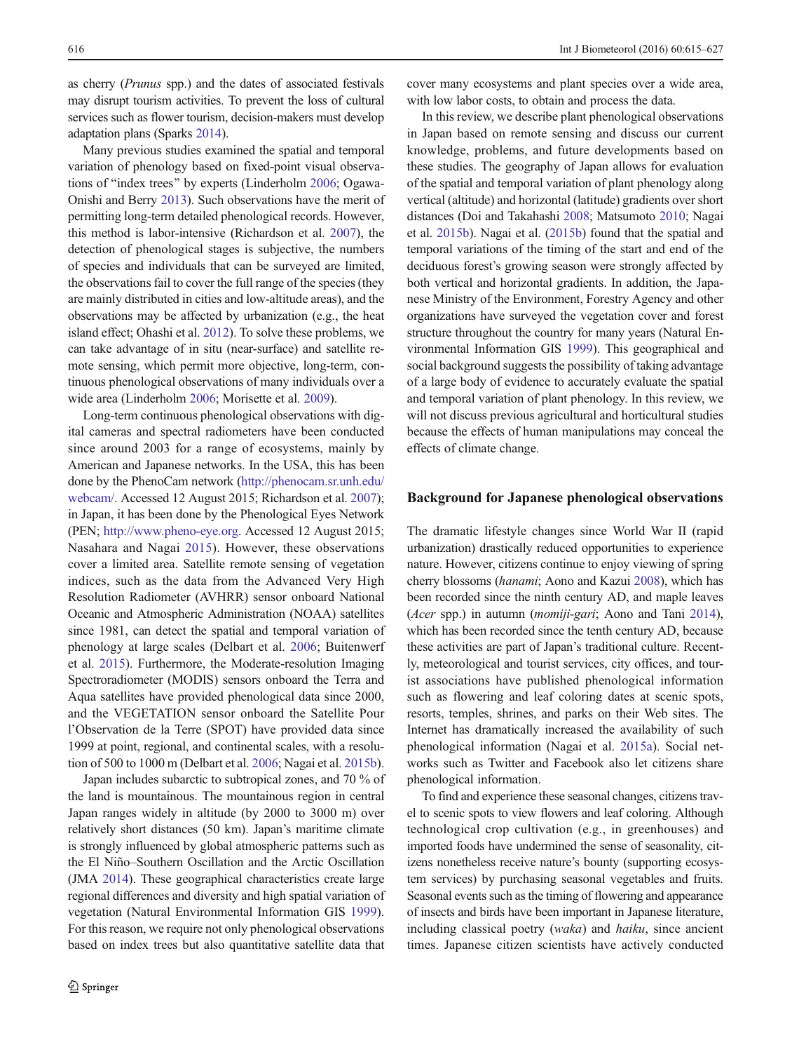as cherry (Prunus spp.) and the dates of associated festivals may disrupt tourism activities. To prevent the loss of cultural services such as flower tourism, decision-makers must develop adaptation plans (Sparks [2014\)](#page-12-0).

Many previous studies examined the spatial and temporal variation of phenology based on fixed-point visual observa-tions of "index trees" by experts (Linderholm [2006;](#page-11-0) Ogawa-Onishi and Berry [2013\)](#page-12-0). Such observations have the merit of permitting long-term detailed phenological records. However, this method is labor-intensive (Richardson et al. [2007\)](#page-12-0), the detection of phenological stages is subjective, the numbers of species and individuals that can be surveyed are limited, the observations fail to cover the full range of the species (they are mainly distributed in cities and low-altitude areas), and the observations may be affected by urbanization (e.g., the heat island effect; Ohashi et al. [2012](#page-12-0)). To solve these problems, we can take advantage of in situ (near-surface) and satellite remote sensing, which permit more objective, long-term, continuous phenological observations of many individuals over a wide area (Linderholm [2006](#page-11-0); Morisette et al. [2009](#page-11-0)).

Long-term continuous phenological observations with digital cameras and spectral radiometers have been conducted since around 2003 for a range of ecosystems, mainly by American and Japanese networks. In the USA, this has been done by the PhenoCam network [\(http://phenocam.sr.unh.edu/](http://phenocam.sr.unh.edu/webcam/) [webcam/.](http://phenocam.sr.unh.edu/webcam/) Accessed 12 August 2015; Richardson et al. [2007](#page-12-0)); in Japan, it has been done by the Phenological Eyes Network (PEN; <http://www.pheno-eye.org>. Accessed 12 August 2015; Nasahara and Nagai [2015\)](#page-12-0). However, these observations cover a limited area. Satellite remote sensing of vegetation indices, such as the data from the Advanced Very High Resolution Radiometer (AVHRR) sensor onboard National Oceanic and Atmospheric Administration (NOAA) satellites since 1981, can detect the spatial and temporal variation of phenology at large scales (Delbart et al. [2006](#page-10-0); Buitenwerf et al. [2015](#page-10-0)). Furthermore, the Moderate-resolution Imaging Spectroradiometer (MODIS) sensors onboard the Terra and Aqua satellites have provided phenological data since 2000, and the VEGETATION sensor onboard the Satellite Pour l'Observation de la Terre (SPOT) have provided data since 1999 at point, regional, and continental scales, with a resolution of 500 to 1000 m (Delbart et al. [2006](#page-10-0); Nagai et al. [2015b\)](#page-11-0).

Japan includes subarctic to subtropical zones, and 70 % of the land is mountainous. The mountainous region in central Japan ranges widely in altitude (by 2000 to 3000 m) over relatively short distances (50 km). Japan's maritime climate is strongly influenced by global atmospheric patterns such as the El Niño–Southern Oscillation and the Arctic Oscillation (JMA [2014\)](#page-11-0). These geographical characteristics create large regional differences and diversity and high spatial variation of vegetation (Natural Environmental Information GIS [1999](#page-12-0)). For this reason, we require not only phenological observations based on index trees but also quantitative satellite data that

cover many ecosystems and plant species over a wide area, with low labor costs, to obtain and process the data.

In this review, we describe plant phenological observations in Japan based on remote sensing and discuss our current knowledge, problems, and future developments based on these studies. The geography of Japan allows for evaluation of the spatial and temporal variation of plant phenology along vertical (altitude) and horizontal (latitude) gradients over short distances (Doi and Takahashi [2008](#page-10-0); Matsumoto [2010;](#page-11-0) Nagai et al. [2015b\)](#page-11-0). Nagai et al. [\(2015b\)](#page-11-0) found that the spatial and temporal variations of the timing of the start and end of the deciduous forest's growing season were strongly affected by both vertical and horizontal gradients. In addition, the Japanese Ministry of the Environment, Forestry Agency and other organizations have surveyed the vegetation cover and forest structure throughout the country for many years (Natural Environmental Information GIS [1999\)](#page-12-0). This geographical and social background suggests the possibility of taking advantage of a large body of evidence to accurately evaluate the spatial and temporal variation of plant phenology. In this review, we will not discuss previous agricultural and horticultural studies because the effects of human manipulations may conceal the effects of climate change.

## Background for Japanese phenological observations

The dramatic lifestyle changes since World War II (rapid urbanization) drastically reduced opportunities to experience nature. However, citizens continue to enjoy viewing of spring cherry blossoms (hanami; Aono and Kazui [2008\)](#page-10-0), which has been recorded since the ninth century AD, and maple leaves (Acer spp.) in autumn (momiji-gari; Aono and Tani [2014\)](#page-10-0), which has been recorded since the tenth century AD, because these activities are part of Japan's traditional culture. Recently, meteorological and tourist services, city offices, and tourist associations have published phenological information such as flowering and leaf coloring dates at scenic spots, resorts, temples, shrines, and parks on their Web sites. The Internet has dramatically increased the availability of such phenological information (Nagai et al. [2015a\)](#page-11-0). Social networks such as Twitter and Facebook also let citizens share phenological information.

To find and experience these seasonal changes, citizens travel to scenic spots to view flowers and leaf coloring. Although technological crop cultivation (e.g., in greenhouses) and imported foods have undermined the sense of seasonality, citizens nonetheless receive nature's bounty (supporting ecosystem services) by purchasing seasonal vegetables and fruits. Seasonal events such as the timing of flowering and appearance of insects and birds have been important in Japanese literature, including classical poetry (waka) and haiku, since ancient times. Japanese citizen scientists have actively conducted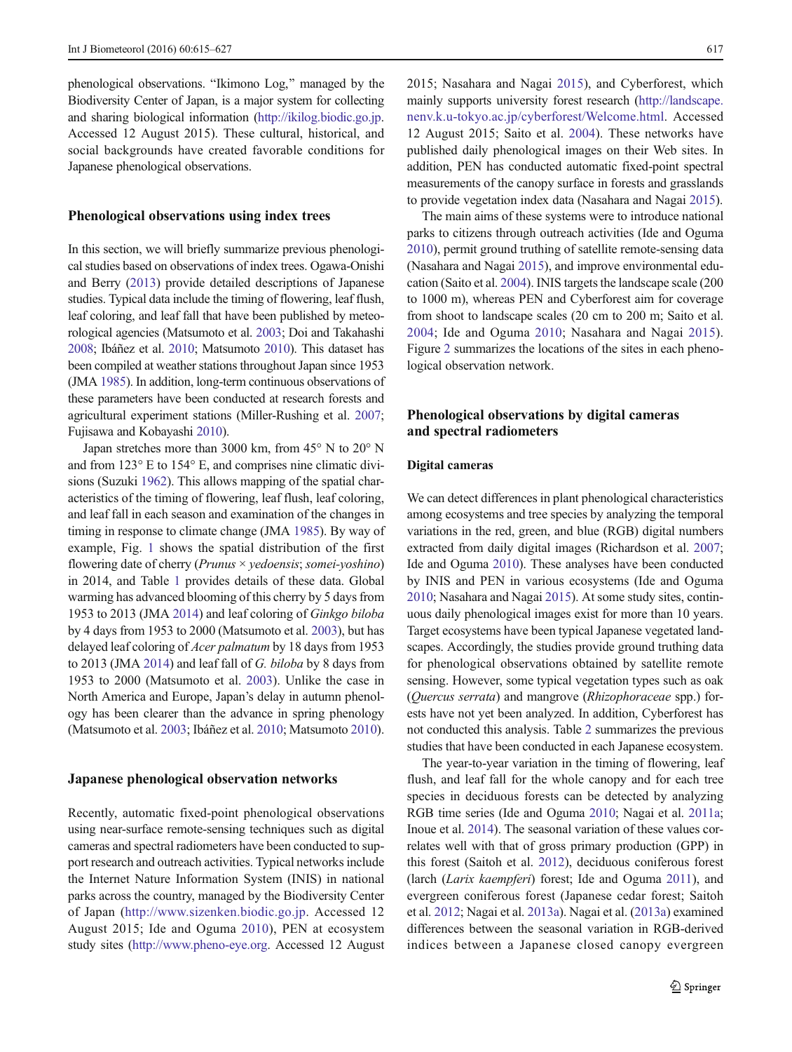phenological observations. "Ikimono Log," managed by the Biodiversity Center of Japan, is a major system for collecting and sharing biological information [\(http://ikilog.biodic.go.jp.](http://ikilog.biodic.go.jp) Accessed 12 August 2015). These cultural, historical, and social backgrounds have created favorable conditions for Japanese phenological observations.

## Phenological observations using index trees

In this section, we will briefly summarize previous phenological studies based on observations of index trees. Ogawa-Onishi and Berry ([2013\)](#page-12-0) provide detailed descriptions of Japanese studies. Typical data include the timing of flowering, leaf flush, leaf coloring, and leaf fall that have been published by meteorological agencies (Matsumoto et al. [2003;](#page-11-0) Doi and Takahashi [2008](#page-10-0); Ibáñez et al. [2010](#page-11-0); Matsumoto [2010](#page-11-0)). This dataset has been compiled at weather stations throughout Japan since 1953 (JMA [1985\)](#page-11-0). In addition, long-term continuous observations of these parameters have been conducted at research forests and agricultural experiment stations (Miller-Rushing et al. [2007](#page-11-0); Fujisawa and Kobayashi [2010](#page-11-0)).

Japan stretches more than 3000 km, from 45° N to 20° N and from 123° E to 154° E, and comprises nine climatic divisions (Suzuki [1962\)](#page-12-0). This allows mapping of the spatial characteristics of the timing of flowering, leaf flush, leaf coloring, and leaf fall in each season and examination of the changes in timing in response to climate change (JMA [1985](#page-11-0)). By way of example, Fig. [1](#page-3-0) shows the spatial distribution of the first flowering date of cherry (Prunus × yedoensis; somei-yoshino) in 2014, and Table [1](#page-4-0) provides details of these data. Global warming has advanced blooming of this cherry by 5 days from 1953 to 2013 (JMA [2014\)](#page-11-0) and leaf coloring of Ginkgo biloba by 4 days from 1953 to 2000 (Matsumoto et al. [2003\)](#page-11-0), but has delayed leaf coloring of Acer palmatum by 18 days from 1953 to 2013 (JMA [2014\)](#page-11-0) and leaf fall of G. biloba by 8 days from 1953 to 2000 (Matsumoto et al. [2003](#page-11-0)). Unlike the case in North America and Europe, Japan's delay in autumn phenology has been clearer than the advance in spring phenology (Matsumoto et al. [2003](#page-11-0); Ibáñez et al. [2010;](#page-11-0) Matsumoto [2010\)](#page-11-0).

## Japanese phenological observation networks

Recently, automatic fixed-point phenological observations using near-surface remote-sensing techniques such as digital cameras and spectral radiometers have been conducted to support research and outreach activities. Typical networks include the Internet Nature Information System (INIS) in national parks across the country, managed by the Biodiversity Center of Japan (<http://www.sizenken.biodic.go.jp>. Accessed 12 August 2015; Ide and Oguma [2010](#page-11-0)), PEN at ecosystem study sites (<http://www.pheno-eye.org>. Accessed 12 August

2015; Nasahara and Nagai [2015](#page-12-0)), and Cyberforest, which mainly supports university forest research ([http://landscape.](http://landscape.nenv.k.u-tokyo.ac.jp/cyberforest/Welcome.html) [nenv.k.u-tokyo.ac.jp/cyberforest/Welcome.html.](http://landscape.nenv.k.u-tokyo.ac.jp/cyberforest/Welcome.html) Accessed 12 August 2015; Saito et al. [2004](#page-12-0)). These networks have published daily phenological images on their Web sites. In addition, PEN has conducted automatic fixed-point spectral measurements of the canopy surface in forests and grasslands to provide vegetation index data (Nasahara and Nagai [2015](#page-12-0)).

The main aims of these systems were to introduce national parks to citizens through outreach activities (Ide and Oguma [2010\)](#page-11-0), permit ground truthing of satellite remote-sensing data (Nasahara and Nagai [2015](#page-12-0)), and improve environmental education (Saito et al. [2004](#page-12-0)). INIS targets the landscape scale (200 to 1000 m), whereas PEN and Cyberforest aim for coverage from shoot to landscape scales (20 cm to 200 m; Saito et al. [2004;](#page-12-0) Ide and Oguma [2010;](#page-11-0) Nasahara and Nagai [2015](#page-12-0)). Figure [2](#page-5-0) summarizes the locations of the sites in each phenological observation network.

# Phenological observations by digital cameras and spectral radiometers

#### Digital cameras

We can detect differences in plant phenological characteristics among ecosystems and tree species by analyzing the temporal variations in the red, green, and blue (RGB) digital numbers extracted from daily digital images (Richardson et al. [2007;](#page-12-0) Ide and Oguma [2010](#page-11-0)). These analyses have been conducted by INIS and PEN in various ecosystems (Ide and Oguma [2010;](#page-11-0) Nasahara and Nagai [2015\)](#page-12-0). At some study sites, continuous daily phenological images exist for more than 10 years. Target ecosystems have been typical Japanese vegetated landscapes. Accordingly, the studies provide ground truthing data for phenological observations obtained by satellite remote sensing. However, some typical vegetation types such as oak (Quercus serrata) and mangrove (Rhizophoraceae spp.) forests have not yet been analyzed. In addition, Cyberforest has not conducted this analysis. Table [2](#page-6-0) summarizes the previous studies that have been conducted in each Japanese ecosystem.

The year-to-year variation in the timing of flowering, leaf flush, and leaf fall for the whole canopy and for each tree species in deciduous forests can be detected by analyzing RGB time series (Ide and Oguma [2010;](#page-11-0) Nagai et al. [2011a;](#page-11-0) Inoue et al. [2014](#page-11-0)). The seasonal variation of these values correlates well with that of gross primary production (GPP) in this forest (Saitoh et al. [2012\)](#page-12-0), deciduous coniferous forest (larch (Larix kaempferi) forest; Ide and Oguma [2011\)](#page-11-0), and evergreen coniferous forest (Japanese cedar forest; Saitoh et al. [2012](#page-12-0); Nagai et al. [2013a\)](#page-11-0). Nagai et al. [\(2013a](#page-11-0)) examined differences between the seasonal variation in RGB-derived indices between a Japanese closed canopy evergreen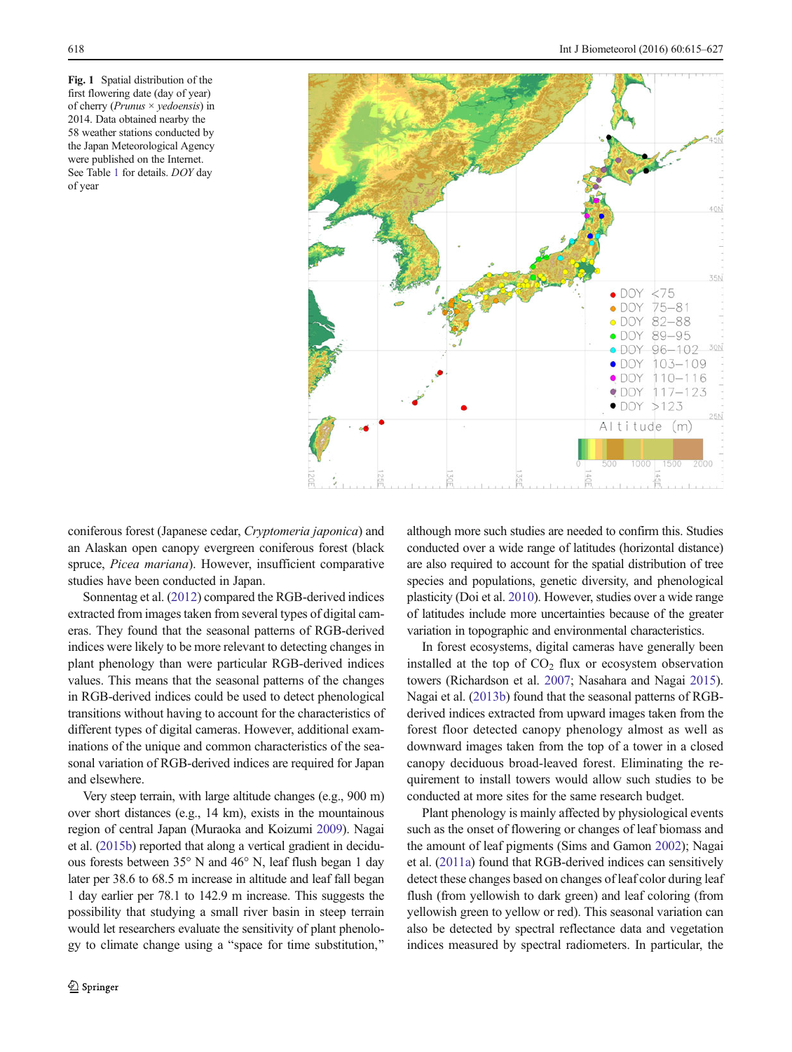<span id="page-3-0"></span>Fig. 1 Spatial distribution of the first flowering date (day of year) of cherry (*Prunus*  $\times$  *yedoensis*) in 2014. Data obtained nearby the 58 weather stations conducted by the Japan Meteorological Agency were published on the Internet. See Table [1](#page-4-0) for details. DOY day of year



coniferous forest (Japanese cedar, Cryptomeria japonica) and an Alaskan open canopy evergreen coniferous forest (black spruce, Picea mariana). However, insufficient comparative studies have been conducted in Japan.

Sonnentag et al. ([2012](#page-12-0)) compared the RGB-derived indices extracted from images taken from several types of digital cameras. They found that the seasonal patterns of RGB-derived indices were likely to be more relevant to detecting changes in plant phenology than were particular RGB-derived indices values. This means that the seasonal patterns of the changes in RGB-derived indices could be used to detect phenological transitions without having to account for the characteristics of different types of digital cameras. However, additional examinations of the unique and common characteristics of the seasonal variation of RGB-derived indices are required for Japan and elsewhere.

Very steep terrain, with large altitude changes (e.g., 900 m) over short distances (e.g., 14 km), exists in the mountainous region of central Japan (Muraoka and Koizumi [2009\)](#page-11-0). Nagai et al. [\(2015b](#page-11-0)) reported that along a vertical gradient in deciduous forests between 35° N and 46° N, leaf flush began 1 day later per 38.6 to 68.5 m increase in altitude and leaf fall began 1 day earlier per 78.1 to 142.9 m increase. This suggests the possibility that studying a small river basin in steep terrain would let researchers evaluate the sensitivity of plant phenology to climate change using a "space for time substitution,"

although more such studies are needed to confirm this. Studies conducted over a wide range of latitudes (horizontal distance) are also required to account for the spatial distribution of tree species and populations, genetic diversity, and phenological plasticity (Doi et al. [2010\)](#page-10-0). However, studies over a wide range of latitudes include more uncertainties because of the greater variation in topographic and environmental characteristics.

In forest ecosystems, digital cameras have generally been installed at the top of  $CO<sub>2</sub>$  flux or ecosystem observation towers (Richardson et al. [2007](#page-12-0); Nasahara and Nagai [2015\)](#page-12-0). Nagai et al. [\(2013b](#page-11-0)) found that the seasonal patterns of RGBderived indices extracted from upward images taken from the forest floor detected canopy phenology almost as well as downward images taken from the top of a tower in a closed canopy deciduous broad-leaved forest. Eliminating the requirement to install towers would allow such studies to be conducted at more sites for the same research budget.

Plant phenology is mainly affected by physiological events such as the onset of flowering or changes of leaf biomass and the amount of leaf pigments (Sims and Gamon [2002](#page-12-0)); Nagai et al. ([2011a](#page-11-0)) found that RGB-derived indices can sensitively detect these changes based on changes of leaf color during leaf flush (from yellowish to dark green) and leaf coloring (from yellowish green to yellow or red). This seasonal variation can also be detected by spectral reflectance data and vegetation indices measured by spectral radiometers. In particular, the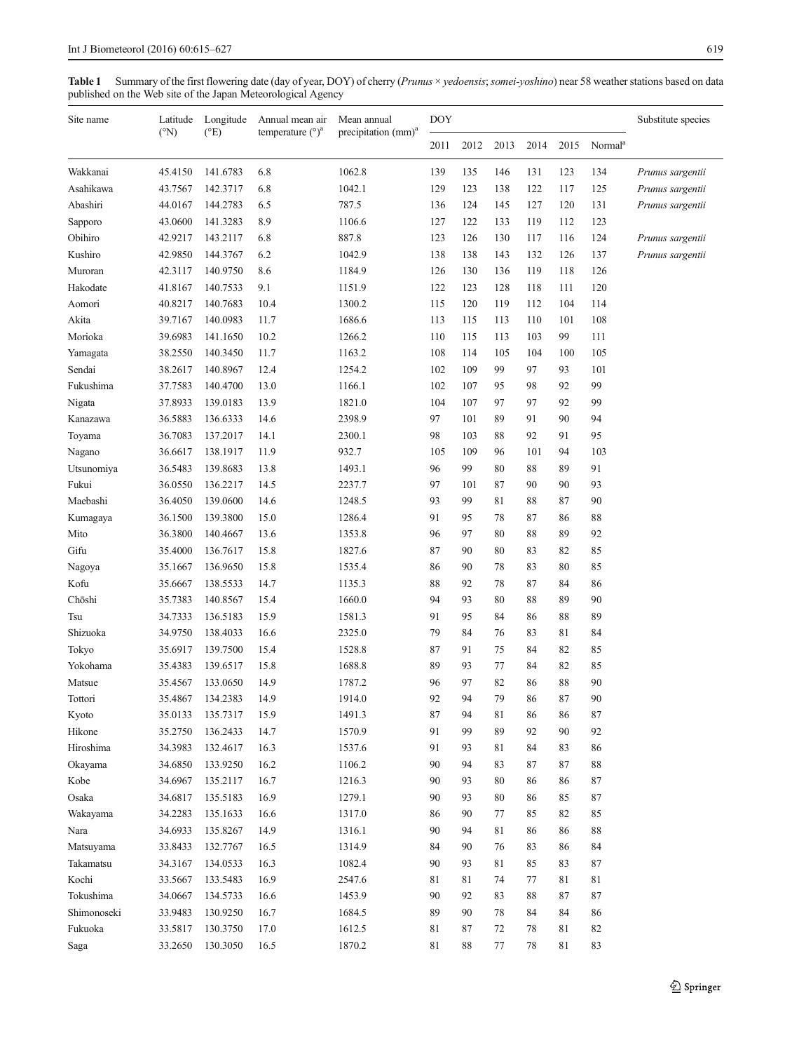<span id="page-4-0"></span>Table 1 Summary of the first flowering date (day of year, DOY) of cherry (Prunus × yedoensis; somei-yoshino) near 58 weather stations based on data published on the Web site of the Japan Meteorological Agency

| Site name   | Latitude<br>$({}^{\circ}N)$ | Longitude<br>(°E) | Annual mean air<br>temperature $(^\circ)^\text{a}$ | Mean annual<br>precipitation (mm) <sup>a</sup> | <b>DOY</b> |      |      |      |      |                     | Substitute species |
|-------------|-----------------------------|-------------------|----------------------------------------------------|------------------------------------------------|------------|------|------|------|------|---------------------|--------------------|
|             |                             |                   |                                                    |                                                | 2011       | 2012 | 2013 | 2014 | 2015 | Normal <sup>a</sup> |                    |
| Wakkanai    | 45.4150                     | 141.6783          | 6.8                                                | 1062.8                                         | 139        | 135  | 146  | 131  | 123  | 134                 | Prunus sargentii   |
| Asahikawa   | 43.7567                     | 142.3717          | 6.8                                                | 1042.1                                         | 129        | 123  | 138  | 122  | 117  | 125                 | Prunus sargentii   |
| Abashiri    | 44.0167                     | 144.2783          | 6.5                                                | 787.5                                          | 136        | 124  | 145  | 127  | 120  | 131                 | Prunus sargentii   |
| Sapporo     | 43.0600                     | 141.3283          | 8.9                                                | 1106.6                                         | 127        | 122  | 133  | 119  | 112  | 123                 |                    |
| Obihiro     | 42.9217                     | 143.2117          | 6.8                                                | 887.8                                          | 123        | 126  | 130  | 117  | 116  | 124                 | Prunus sargentii   |
| Kushiro     | 42.9850                     | 144.3767          | 6.2                                                | 1042.9                                         | 138        | 138  | 143  | 132  | 126  | 137                 | Prunus sargentii   |
| Muroran     | 42.3117                     | 140.9750          | 8.6                                                | 1184.9                                         | 126        | 130  | 136  | 119  | 118  | 126                 |                    |
| Hakodate    | 41.8167                     | 140.7533          | 9.1                                                | 1151.9                                         | 122        | 123  | 128  | 118  | 111  | 120                 |                    |
| Aomori      | 40.8217                     | 140.7683          | 10.4                                               | 1300.2                                         | 115        | 120  | 119  | 112  | 104  | 114                 |                    |
| Akita       | 39.7167                     | 140.0983          | 11.7                                               | 1686.6                                         | 113        | 115  | 113  | 110  | 101  | 108                 |                    |
| Morioka     | 39.6983                     | 141.1650          | 10.2                                               | 1266.2                                         | 110        | 115  | 113  | 103  | 99   | 111                 |                    |
| Yamagata    | 38.2550                     | 140.3450          | 11.7                                               | 1163.2                                         | 108        | 114  | 105  | 104  | 100  | 105                 |                    |
| Sendai      | 38.2617                     | 140.8967          | 12.4                                               | 1254.2                                         | 102        | 109  | 99   | 97   | 93   | 101                 |                    |
| Fukushima   | 37.7583                     | 140.4700          | 13.0                                               | 1166.1                                         | 102        | 107  | 95   | 98   | 92   | 99                  |                    |
| Nigata      | 37.8933                     | 139.0183          | 13.9                                               | 1821.0                                         | 104        | 107  | 97   | 97   | 92   | 99                  |                    |
| Kanazawa    | 36.5883                     | 136.6333          | 14.6                                               | 2398.9                                         | 97         | 101  | 89   | 91   | 90   | 94                  |                    |
| Toyama      | 36.7083                     | 137.2017          | 14.1                                               | 2300.1                                         | 98         | 103  | 88   | 92   | 91   | 95                  |                    |
| Nagano      | 36.6617                     | 138.1917          | 11.9                                               | 932.7                                          | 105        | 109  | 96   | 101  | 94   | 103                 |                    |
| Utsunomiya  | 36.5483                     | 139.8683          | 13.8                                               | 1493.1                                         | 96         | 99   | 80   | 88   | 89   | 91                  |                    |
| Fukui       | 36.0550                     | 136.2217          | 14.5                                               | 2237.7                                         | 97         | 101  | 87   | 90   | 90   | 93                  |                    |
| Maebashi    | 36.4050                     | 139.0600          | 14.6                                               | 1248.5                                         | 93         | 99   | 81   | 88   | 87   | 90                  |                    |
| Kumagaya    | 36.1500                     | 139.3800          | 15.0                                               | 1286.4                                         | 91         | 95   | 78   | 87   | 86   | 88                  |                    |
| Mito        | 36.3800                     | 140.4667          | 13.6                                               | 1353.8                                         | 96         | 97   | 80   | 88   | 89   | 92                  |                    |
| Gifu        | 35.4000                     | 136.7617          | 15.8                                               | 1827.6                                         | 87         | 90   | 80   | 83   | 82   | 85                  |                    |
| Nagoya      | 35.1667                     | 136.9650          | 15.8                                               | 1535.4                                         | 86         | 90   | 78   | 83   | 80   | 85                  |                    |
| Kofu        | 35.6667                     | 138.5533          | 14.7                                               | 1135.3                                         | 88         | 92   | 78   | 87   | 84   | 86                  |                    |
| Chōshi      | 35.7383                     | 140.8567          | 15.4                                               | 1660.0                                         | 94         | 93   | 80   | 88   | 89   | 90                  |                    |
| Tsu         | 34.7333                     | 136.5183          | 15.9                                               | 1581.3                                         | 91         | 95   | 84   | 86   | 88   | 89                  |                    |
| Shizuoka    | 34.9750                     | 138.4033          | 16.6                                               | 2325.0                                         | 79         | 84   | 76   | 83   | 81   | 84                  |                    |
| Tokyo       | 35.6917                     | 139.7500          | 15.4                                               | 1528.8                                         | 87         | 91   | 75   | 84   | 82   | 85                  |                    |
| Yokohama    | 35.4383                     | 139.6517          | 15.8                                               | 1688.8                                         | 89         | 93   | 77   | 84   | 82   | 85                  |                    |
| Matsue      | 35.4567                     | 133.0650          | 14.9                                               | 1787.2                                         | 96         | 97   | 82   | 86   | 88   | 90                  |                    |
| Tottori     | 35.4867                     | 134.2383          | 14.9                                               | 1914.0                                         | 92         | 94   | 79   | 86   | 87   | 90                  |                    |
| Kyoto       | 35.0133                     | 135.7317          | 15.9                                               | 1491.3                                         | 87         | 94   | 81   | 86   | 86   | 87                  |                    |
| Hikone      | 35.2750                     | 136.2433          | 14.7                                               | 1570.9                                         | 91         | 99   | 89   | 92   | 90   | 92                  |                    |
| Hiroshima   | 34.3983                     | 132.4617          | 16.3                                               | 1537.6                                         | 91         | 93   | 81   | 84   | 83   | 86                  |                    |
| Okayama     | 34.6850                     | 133.9250          | 16.2                                               | 1106.2                                         | 90         | 94   | 83   | 87   | 87   | 88                  |                    |
| Kobe        | 34.6967                     | 135.2117          | 16.7                                               | 1216.3                                         | 90         | 93   | 80   | 86   | 86   | 87                  |                    |
| Osaka       | 34.6817                     | 135.5183          | 16.9                                               | 1279.1                                         | 90         | 93   | 80   | 86   | 85   | 87                  |                    |
| Wakayama    | 34.2283                     | 135.1633          | 16.6                                               | 1317.0                                         | 86         | 90   | 77   | 85   | 82   | 85                  |                    |
| Nara        | 34.6933                     | 135.8267          | 14.9                                               | 1316.1                                         | 90         | 94   | 81   | 86   | 86   | 88                  |                    |
| Matsuyama   | 33.8433                     | 132.7767          | 16.5                                               | 1314.9                                         | 84         | 90   | 76   | 83   | 86   | 84                  |                    |
| Takamatsu   | 34.3167                     | 134.0533          | 16.3                                               | 1082.4                                         | 90         | 93   | 81   | 85   | 83   | 87                  |                    |
| Kochi       | 33.5667                     | 133.5483          | 16.9                                               | 2547.6                                         | 81         | 81   | 74   | 77   | 81   | 81                  |                    |
| Tokushima   | 34.0667                     | 134.5733          | 16.6                                               | 1453.9                                         | 90         | 92   | 83   | 88   | 87   | 87                  |                    |
| Shimonoseki | 33.9483                     | 130.9250          | 16.7                                               | 1684.5                                         | 89         | 90   | 78   | 84   | 84   | 86                  |                    |
| Fukuoka     | 33.5817                     | 130.3750          | 17.0                                               | 1612.5                                         | 81         | 87   | 72   | 78   | 81   | 82                  |                    |
| Saga        | 33.2650                     | 130.3050          | 16.5                                               | 1870.2                                         | 81         | 88   | 77   | 78   | 81   | 83                  |                    |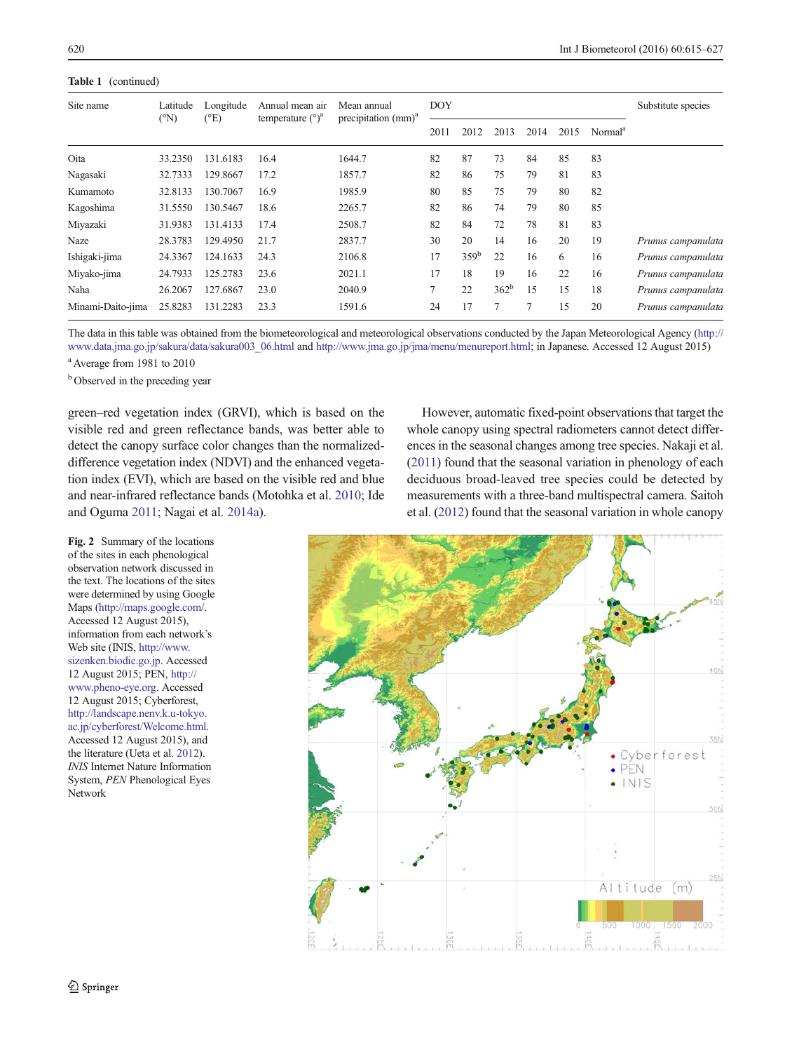# <span id="page-5-0"></span>Table 1 (continued)

| Site name         | Latitude | Longitude | Annual mean air              | Mean annual              | <b>DOY</b> |                  |         |      |      |                     | Substitute species |
|-------------------|----------|-----------|------------------------------|--------------------------|------------|------------------|---------|------|------|---------------------|--------------------|
|                   | (°N)     | (°E)      | temperature $({}^{\circ})^a$ | precipitation $(mm)^{a}$ | 2011       | 2012             | 2013    | 2014 | 2015 | Normal <sup>a</sup> |                    |
| Oita              | 33.2350  | 131.6183  | 16.4                         | 1644.7                   | 82         | 87               | 73      | 84   | 85   | 83                  |                    |
| Nagasaki          | 32.7333  | 129.8667  | 17.2                         | 1857.7                   | 82         | 86               | 75      | 79   | 81   | 83                  |                    |
| Kumamoto          | 32.8133  | 130.7067  | 16.9                         | 1985.9                   | 80         | 85               | 75      | 79   | 80   | 82                  |                    |
| Kagoshima         | 31.5550  | 130.5467  | 18.6                         | 2265.7                   | 82         | 86               | 74      | 79   | 80   | 85                  |                    |
| Miyazaki          | 31.9383  | 131.4133  | 17.4                         | 2508.7                   | 82         | 84               | 72      | 78   | 81   | 83                  |                    |
| Naze              | 28.3783  | 129.4950  | 21.7                         | 2837.7                   | 30         | 20               | 14      | 16   | 20   | 19                  | Prunus campanulata |
| Ishigaki-jima     | 24.3367  | 124.1633  | 24.3                         | 2106.8                   | 17         | 359 <sup>b</sup> | 22      | 16   | 6    | 16                  | Prunus campanulata |
| Miyako-jima       | 24.7933  | 125.2783  | 23.6                         | 2021.1                   | 17         | 18               | 19      | 16   | 22   | 16                  | Prunus campanulata |
| Naha              | 26.2067  | 127.6867  | 23.0                         | 2040.9                   | 7          | 22               | $362^b$ | 15   | 15   | 18                  | Prunus campanulata |
| Minami-Daito-jima | 25.8283  | 131.2283  | 23.3                         | 1591.6                   | 24         | 17               |         | 7    | 15   | 20                  | Prunus campanulata |

The data in this table was obtained from the biometeorological and meteorological observations conducted by the Japan Meteorological Agency ([http://](http://www.data.jma.go.jp/sakura/data/sakura003_06.html) [www.data.jma.go.jp/sakura/data/sakura003\\_06.html](http://www.data.jma.go.jp/sakura/data/sakura003_06.html) and <http://www.jma.go.jp/jma/menu/menureport.html>; in Japanese. Accessed 12 August 2015)

<sup>a</sup> Average from 1981 to 2010

<sup>b</sup> Observed in the preceding year

green–red vegetation index (GRVI), which is based on the visible red and green reflectance bands, was better able to detect the canopy surface color changes than the normalizeddifference vegetation index (NDVI) and the enhanced vegetation index (EVI), which are based on the visible red and blue and near-infrared reflectance bands (Motohka et al. [2010;](#page-11-0) Ide and Oguma [2011](#page-11-0); Nagai et al. [2014a\)](#page-11-0).

However, automatic fixed-point observations that target the whole canopy using spectral radiometers cannot detect differences in the seasonal changes among tree species. Nakaji et al. [\(2011\)](#page-12-0) found that the seasonal variation in phenology of each deciduous broad-leaved tree species could be detected by measurements with a three-band multispectral camera. Saitoh et al. ([2012](#page-12-0)) found that the seasonal variation in whole canopy

Fig. 2 Summary of the locations of the sites in each phenological observation network discussed in the text. The locations of the sites were determined by using Google Maps [\(http://maps.google.com](http://maps.google.com)/. Accessed 12 August 2015), information from each network's Web site (INIS, [http://www.](http://www.sizenken.biodic.go.jp) [sizenken.biodic.go.jp.](http://www.sizenken.biodic.go.jp) Accessed 12 August 2015; PEN, [http://](http://www.pheno-eye.org) [www.pheno-eye.org](http://www.pheno-eye.org). Accessed 12 August 2015; Cyberforest, [http://landscape.nenv.k.u-tokyo.](http://landscape.nenv.k.u-tokyo.ac.jp/cyberforest/Welcome.html) [ac.jp/cyberforest/Welcome.html](http://landscape.nenv.k.u-tokyo.ac.jp/cyberforest/Welcome.html). Accessed 12 August 2015), and the literature (Ueta et al. [2012\)](#page-12-0). INIS Internet Nature Information System, PEN Phenological Eyes Network

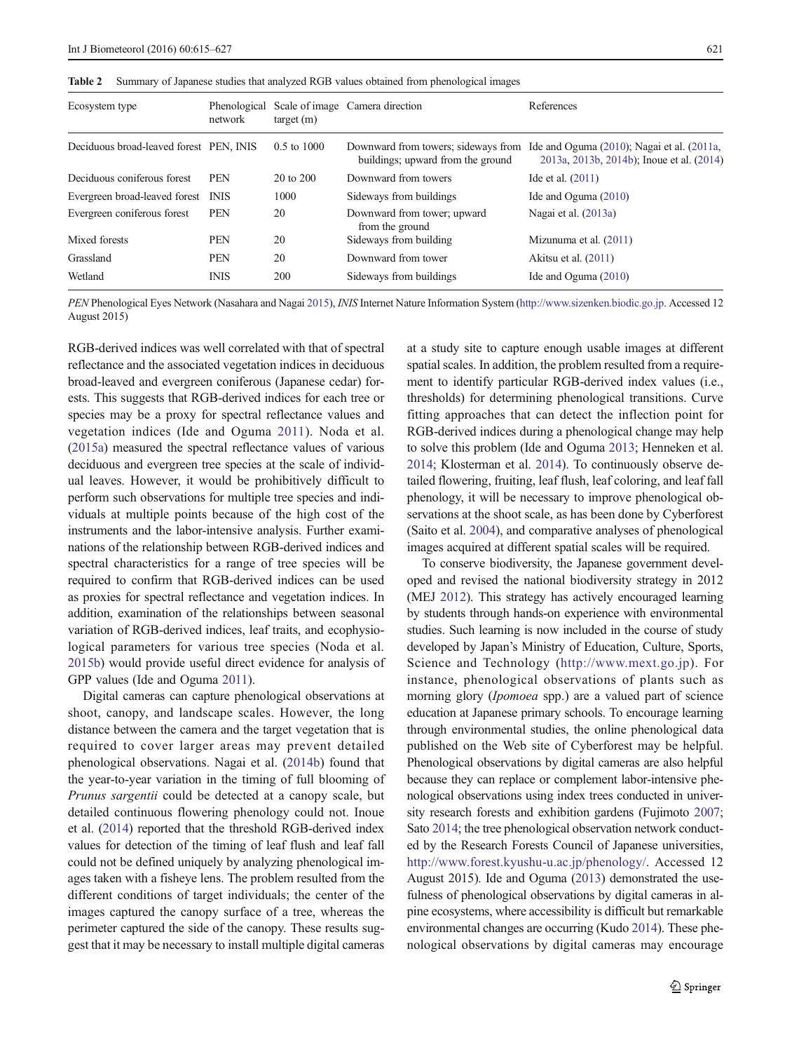<span id="page-6-0"></span>Table 2 Summary of Japanese studies that analyzed RGB values obtained from phenological images

| Ecosystem type                          | network     | target(m)              | Phenological Scale of image Camera direction                             | References                                                                                     |
|-----------------------------------------|-------------|------------------------|--------------------------------------------------------------------------|------------------------------------------------------------------------------------------------|
| Deciduous broad-leaved forest PEN, INIS |             | $0.5 \text{ to } 1000$ | Downward from towers; sideways from<br>buildings; upward from the ground | Ide and Oguma $(2010)$ ; Nagai et al. $(2011a)$ ,<br>2013a, 2013b, 2014b); Inoue et al. (2014) |
| Deciduous coniferous forest             | <b>PEN</b>  | 20 to 200              | Downward from towers                                                     | Ide et al. $(2011)$                                                                            |
| Evergreen broad-leaved forest INIS      |             | 1000                   | Sideways from buildings                                                  | Ide and Oguma $(2010)$                                                                         |
| Evergreen coniferous forest             | <b>PEN</b>  | 20                     | Downward from tower; upward<br>from the ground                           | Nagai et al. (2013a)                                                                           |
| Mixed forests                           | <b>PEN</b>  | 20                     | Sideways from building                                                   | Mizunuma et al. (2011)                                                                         |
| Grassland                               | <b>PEN</b>  | 20                     | Downward from tower                                                      | Akitsu et al. $(2011)$                                                                         |
| Wetland                                 | <b>INIS</b> | 200                    | Sideways from buildings                                                  | Ide and Oguma $(2010)$                                                                         |

PEN Phenological Eyes Network (Nasahara and Nagai [2015\)](#page-12-0), INIS Internet Nature Information System [\(http://www.sizenken.biodic.go.jp](http://www.sizenken.biodic.go.jp). Accessed 12 August 2015)

RGB-derived indices was well correlated with that of spectral reflectance and the associated vegetation indices in deciduous broad-leaved and evergreen coniferous (Japanese cedar) forests. This suggests that RGB-derived indices for each tree or species may be a proxy for spectral reflectance values and vegetation indices (Ide and Oguma [2011](#page-11-0)). Noda et al. [\(2015a\)](#page-12-0) measured the spectral reflectance values of various deciduous and evergreen tree species at the scale of individual leaves. However, it would be prohibitively difficult to perform such observations for multiple tree species and individuals at multiple points because of the high cost of the instruments and the labor-intensive analysis. Further examinations of the relationship between RGB-derived indices and spectral characteristics for a range of tree species will be required to confirm that RGB-derived indices can be used as proxies for spectral reflectance and vegetation indices. In addition, examination of the relationships between seasonal variation of RGB-derived indices, leaf traits, and ecophysiological parameters for various tree species (Noda et al. [2015b](#page-12-0)) would provide useful direct evidence for analysis of GPP values (Ide and Oguma [2011](#page-11-0)).

Digital cameras can capture phenological observations at shoot, canopy, and landscape scales. However, the long distance between the camera and the target vegetation that is required to cover larger areas may prevent detailed phenological observations. Nagai et al. ([2014b\)](#page-12-0) found that the year-to-year variation in the timing of full blooming of Prunus sargentii could be detected at a canopy scale, but detailed continuous flowering phenology could not. Inoue et al. [\(2014\)](#page-11-0) reported that the threshold RGB-derived index values for detection of the timing of leaf flush and leaf fall could not be defined uniquely by analyzing phenological images taken with a fisheye lens. The problem resulted from the different conditions of target individuals; the center of the images captured the canopy surface of a tree, whereas the perimeter captured the side of the canopy. These results suggest that it may be necessary to install multiple digital cameras

at a study site to capture enough usable images at different spatial scales. In addition, the problem resulted from a requirement to identify particular RGB-derived index values (i.e., thresholds) for determining phenological transitions. Curve fitting approaches that can detect the inflection point for RGB-derived indices during a phenological change may help to solve this problem (Ide and Oguma [2013;](#page-11-0) Henneken et al. [2014;](#page-11-0) Klosterman et al. [2014\)](#page-11-0). To continuously observe detailed flowering, fruiting, leaf flush, leaf coloring, and leaf fall phenology, it will be necessary to improve phenological observations at the shoot scale, as has been done by Cyberforest (Saito et al. [2004\)](#page-12-0), and comparative analyses of phenological images acquired at different spatial scales will be required.

To conserve biodiversity, the Japanese government developed and revised the national biodiversity strategy in 2012 (MEJ [2012\)](#page-11-0). This strategy has actively encouraged learning by students through hands-on experience with environmental studies. Such learning is now included in the course of study developed by Japan's Ministry of Education, Culture, Sports, Science and Technology (<http://www.mext.go.jp>). For instance, phenological observations of plants such as morning glory (*Ipomoea* spp.) are a valued part of science education at Japanese primary schools. To encourage learning through environmental studies, the online phenological data published on the Web site of Cyberforest may be helpful. Phenological observations by digital cameras are also helpful because they can replace or complement labor-intensive phenological observations using index trees conducted in university research forests and exhibition gardens (Fujimoto [2007;](#page-10-0) Sato [2014;](#page-12-0) the tree phenological observation network conducted by the Research Forests Council of Japanese universities, <http://www.forest.kyushu-u.ac.jp/phenology/>. Accessed 12 August 2015). Ide and Oguma ([2013](#page-11-0)) demonstrated the usefulness of phenological observations by digital cameras in alpine ecosystems, where accessibility is difficult but remarkable environmental changes are occurring (Kudo [2014\)](#page-11-0). These phenological observations by digital cameras may encourage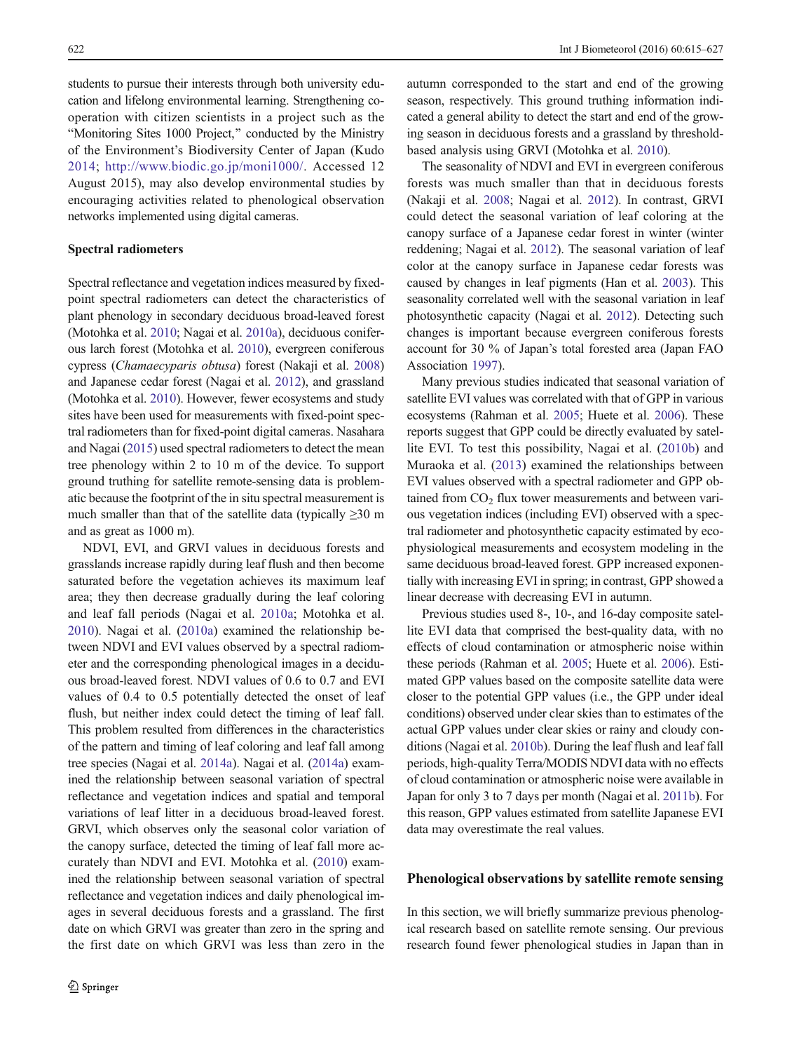students to pursue their interests through both university education and lifelong environmental learning. Strengthening cooperation with citizen scientists in a project such as the "Monitoring Sites 1000 Project," conducted by the Ministry of the Environment's Biodiversity Center of Japan (Kudo [2014](#page-11-0); <http://www.biodic.go.jp/moni1000/>. Accessed 12 August 2015), may also develop environmental studies by encouraging activities related to phenological observation networks implemented using digital cameras.

#### Spectral radiometers

Spectral reflectance and vegetation indices measured by fixedpoint spectral radiometers can detect the characteristics of plant phenology in secondary deciduous broad-leaved forest (Motohka et al. [2010;](#page-11-0) Nagai et al. [2010a\)](#page-11-0), deciduous coniferous larch forest (Motohka et al. [2010\)](#page-11-0), evergreen coniferous cypress (Chamaecyparis obtusa) forest (Nakaji et al. [2008\)](#page-12-0) and Japanese cedar forest (Nagai et al. [2012\)](#page-11-0), and grassland (Motohka et al. [2010](#page-11-0)). However, fewer ecosystems and study sites have been used for measurements with fixed-point spectral radiometers than for fixed-point digital cameras. Nasahara and Nagai ([2015](#page-12-0)) used spectral radiometers to detect the mean tree phenology within 2 to 10 m of the device. To support ground truthing for satellite remote-sensing data is problematic because the footprint of the in situ spectral measurement is much smaller than that of the satellite data (typically  $\geq$ 30 m and as great as 1000 m).

NDVI, EVI, and GRVI values in deciduous forests and grasslands increase rapidly during leaf flush and then become saturated before the vegetation achieves its maximum leaf area; they then decrease gradually during the leaf coloring and leaf fall periods (Nagai et al. [2010a;](#page-11-0) Motohka et al. [2010\)](#page-11-0). Nagai et al. [\(2010a](#page-11-0)) examined the relationship between NDVI and EVI values observed by a spectral radiometer and the corresponding phenological images in a deciduous broad-leaved forest. NDVI values of 0.6 to 0.7 and EVI values of 0.4 to 0.5 potentially detected the onset of leaf flush, but neither index could detect the timing of leaf fall. This problem resulted from differences in the characteristics of the pattern and timing of leaf coloring and leaf fall among tree species (Nagai et al. [2014a\)](#page-11-0). Nagai et al. ([2014a\)](#page-11-0) examined the relationship between seasonal variation of spectral reflectance and vegetation indices and spatial and temporal variations of leaf litter in a deciduous broad-leaved forest. GRVI, which observes only the seasonal color variation of the canopy surface, detected the timing of leaf fall more accurately than NDVI and EVI. Motohka et al. ([2010](#page-11-0)) examined the relationship between seasonal variation of spectral reflectance and vegetation indices and daily phenological images in several deciduous forests and a grassland. The first date on which GRVI was greater than zero in the spring and the first date on which GRVI was less than zero in the

autumn corresponded to the start and end of the growing season, respectively. This ground truthing information indicated a general ability to detect the start and end of the growing season in deciduous forests and a grassland by thresholdbased analysis using GRVI (Motohka et al. [2010\)](#page-11-0).

The seasonality of NDVI and EVI in evergreen coniferous forests was much smaller than that in deciduous forests (Nakaji et al. [2008;](#page-12-0) Nagai et al. [2012\)](#page-11-0). In contrast, GRVI could detect the seasonal variation of leaf coloring at the canopy surface of a Japanese cedar forest in winter (winter reddening; Nagai et al. [2012\)](#page-11-0). The seasonal variation of leaf color at the canopy surface in Japanese cedar forests was caused by changes in leaf pigments (Han et al. [2003\)](#page-11-0). This seasonality correlated well with the seasonal variation in leaf photosynthetic capacity (Nagai et al. [2012\)](#page-11-0). Detecting such changes is important because evergreen coniferous forests account for 30 % of Japan's total forested area (Japan FAO Association [1997](#page-11-0)).

Many previous studies indicated that seasonal variation of satellite EVI values was correlated with that of GPP in various ecosystems (Rahman et al. [2005;](#page-12-0) Huete et al. [2006\)](#page-11-0). These reports suggest that GPP could be directly evaluated by satellite EVI. To test this possibility, Nagai et al. ([2010b\)](#page-11-0) and Muraoka et al. ([2013\)](#page-11-0) examined the relationships between EVI values observed with a spectral radiometer and GPP obtained from  $CO<sub>2</sub>$  flux tower measurements and between various vegetation indices (including EVI) observed with a spectral radiometer and photosynthetic capacity estimated by ecophysiological measurements and ecosystem modeling in the same deciduous broad-leaved forest. GPP increased exponentially with increasing EVI in spring; in contrast, GPP showed a linear decrease with decreasing EVI in autumn.

Previous studies used 8-, 10-, and 16-day composite satellite EVI data that comprised the best-quality data, with no effects of cloud contamination or atmospheric noise within these periods (Rahman et al. [2005](#page-12-0); Huete et al. [2006](#page-11-0)). Estimated GPP values based on the composite satellite data were closer to the potential GPP values (i.e., the GPP under ideal conditions) observed under clear skies than to estimates of the actual GPP values under clear skies or rainy and cloudy conditions (Nagai et al. [2010b\)](#page-11-0). During the leaf flush and leaf fall periods, high-quality Terra/MODIS NDVI data with no effects of cloud contamination or atmospheric noise were available in Japan for only 3 to 7 days per month (Nagai et al. [2011b\)](#page-12-0). For this reason, GPP values estimated from satellite Japanese EVI data may overestimate the real values.

## Phenological observations by satellite remote sensing

In this section, we will briefly summarize previous phenological research based on satellite remote sensing. Our previous research found fewer phenological studies in Japan than in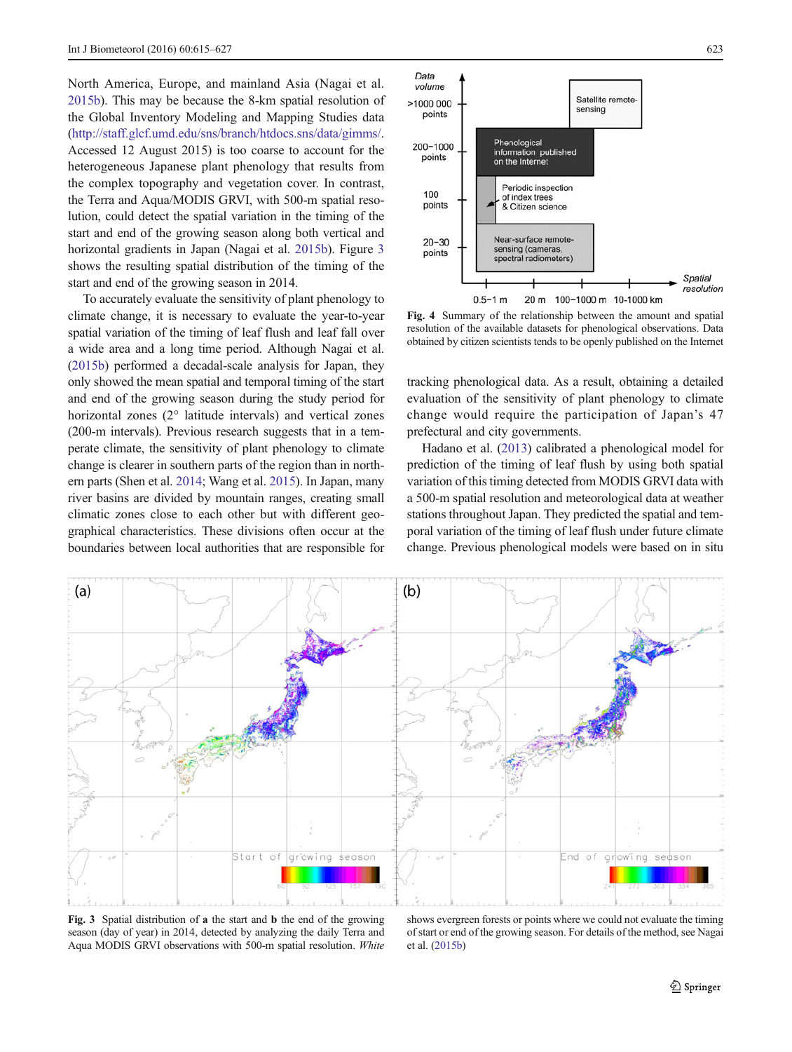<span id="page-8-0"></span>North America, Europe, and mainland Asia (Nagai et al. [2015b](#page-11-0)). This may be because the 8-km spatial resolution of the Global Inventory Modeling and Mapping Studies data [\(http://staff.glcf.umd.edu/sns/branch/htdocs.sns/data/gimms/.](http://staff.glcf.umd.edu/sns/branch/htdocs.sns/data/gimms/) Accessed 12 August 2015) is too coarse to account for the heterogeneous Japanese plant phenology that results from the complex topography and vegetation cover. In contrast, the Terra and Aqua/MODIS GRVI, with 500-m spatial resolution, could detect the spatial variation in the timing of the start and end of the growing season along both vertical and horizontal gradients in Japan (Nagai et al. [2015b](#page-11-0)). Figure 3 shows the resulting spatial distribution of the timing of the start and end of the growing season in 2014.

To accurately evaluate the sensitivity of plant phenology to climate change, it is necessary to evaluate the year-to-year spatial variation of the timing of leaf flush and leaf fall over a wide area and a long time period. Although Nagai et al. [\(2015b\)](#page-11-0) performed a decadal-scale analysis for Japan, they only showed the mean spatial and temporal timing of the start and end of the growing season during the study period for horizontal zones (2° latitude intervals) and vertical zones (200-m intervals). Previous research suggests that in a temperate climate, the sensitivity of plant phenology to climate change is clearer in southern parts of the region than in northern parts (Shen et al. [2014](#page-12-0); Wang et al. [2015](#page-12-0)). In Japan, many river basins are divided by mountain ranges, creating small climatic zones close to each other but with different geographical characteristics. These divisions often occur at the boundaries between local authorities that are responsible for



Fig. 4 Summary of the relationship between the amount and spatial resolution of the available datasets for phenological observations. Data obtained by citizen scientists tends to be openly published on the Internet

tracking phenological data. As a result, obtaining a detailed evaluation of the sensitivity of plant phenology to climate change would require the participation of Japan's 47 prefectural and city governments.

Hadano et al. [\(2013\)](#page-11-0) calibrated a phenological model for prediction of the timing of leaf flush by using both spatial variation of this timing detected from MODIS GRVI data with a 500-m spatial resolution and meteorological data at weather stations throughout Japan. They predicted the spatial and temporal variation of the timing of leaf flush under future climate change. Previous phenological models were based on in situ



Fig. 3 Spatial distribution of a the start and **b** the end of the growing season (day of year) in 2014, detected by analyzing the daily Terra and Aqua MODIS GRVI observations with 500-m spatial resolution. White

shows evergreen forests or points where we could not evaluate the timing of start or end of the growing season. For details of the method, see Nagai et al. [\(2015b\)](#page-11-0)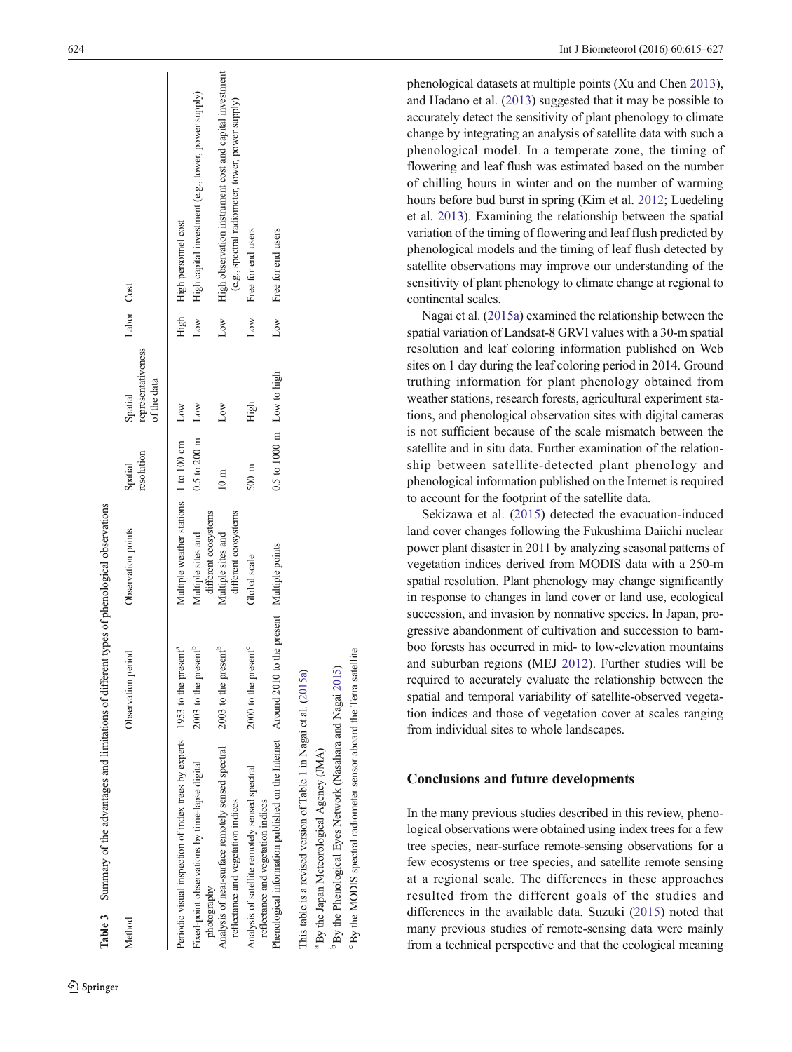<span id="page-9-0"></span>

| Table 3 Summary of the advantages and limitations of different types of phenological observations |                     |                                            |                                              |                                              |            |                                                                                                             |  |
|---------------------------------------------------------------------------------------------------|---------------------|--------------------------------------------|----------------------------------------------|----------------------------------------------|------------|-------------------------------------------------------------------------------------------------------------|--|
| Method                                                                                            | Observation period  | Observation points                         | resolution<br>Spatial                        | representativeness<br>of the data<br>Spatial | Labor Cost |                                                                                                             |  |
| Periodic visual inspection of index trees by experts 1953 to the present                          |                     | Multiple weather stations 1 to 100 cm Low  |                                              |                                              | High       | High personnel cost                                                                                         |  |
| Fixed-point observations by time-lapse digital<br>photography                                     | 2003 to the present | different ecosystems<br>Multiple sites and | $0.5$ to $200$ m                             | Low                                          | Low        | High capital investment (e.g., tower, power supply)                                                         |  |
| Analysis of near-surface remotely sensed spectral<br>reflectance and vegetation indices           | 2003 to the present | different ecosystems<br>Multiple sites and | 10 <sub>m</sub>                              | Low                                          | Low        | High observation instrument cost and capital investment<br>(e.g., spectral radiometer, tower, power supply) |  |
| Analysis of satellite remotely sensed spectral<br>reflectance and vegetation indices              | 2000 to the present | Global scale                               | $500 \text{ m}$                              | High                                         | Low        | Free for end users                                                                                          |  |
| Phenological information published on the Internet Around 2010 to the present Multiple points     |                     |                                            | $0.5 \text{ to } 1000 \text{ m}$ Low to high |                                              | Low        | Free for end users                                                                                          |  |
| This table is a revised version of Table 1 in Nagai et al. (2015a)                                |                     |                                            |                                              |                                              |            |                                                                                                             |  |

<sup>a</sup> By the Japan Meteorological Agency (JMA)

By the Japan Meteorological Agency (JMA)

<sup>b</sup> By the Phenological Eyes Network (Nasahara and Nagai [2015\)](#page-12-0)  $\epsilon$ By the MODIS spectral radiometer sensor aboard the Terra satellite

By the MODIS spectral radiometer sensor aboard the Terra satellite By the Phenological Eyes Network (Nasahara and Nagai 2015)

phenological datasets at multiple points (Xu and Chen [2013\)](#page-12-0), and Hadano et al. [\(2013\)](#page-11-0) suggested that it may be possible to accurately detect the sensitivity of plant phenology to climate change by integrating an analysis of satellite data with such a phenological model. In a temperate zone, the timing of flowering and leaf flush was estimated based on the number of chilling hours in winter and on the number of warming hours before bud burst in spring (Kim et al. [2012](#page-11-0); Luedeling et al. [2013\)](#page-11-0). Examining the relationship between the spatial variation of the timing of flowering and leaf flush predicted by phenological models and the timing of leaf flush detected by satellite observations may improve our understanding of the sensitivity of plant phenology to climate change at regional to continental scales.

Nagai et al. ([2015a\)](#page-11-0) examined the relationship between the spatial variation of Landsat-8 GRVI values with a 30-m spatial resolution and leaf coloring information published on Web sites on 1 day during the leaf coloring period in 2014. Ground truthing information for plant phenology obtained from weather stations, research forests, agricultural experiment stations, and phenological observation sites with digital cameras is not sufficient because of the scale mismatch between the satellite and in situ data. Further examination of the relationship between satellite-detected plant phenology and phenological information published on the Internet is required to account for the footprint of the satellite data.

Sekizawa et al. ([2015\)](#page-12-0) detected the evacuation-induced land cover changes following the Fukushima Daiichi nuclear power plant disaster in 2011 by analyzing seasonal patterns of vegetation indices derived from MODIS data with a 250-m spatial resolution. Plant phenology may change significantly in response to changes in land cover or land use, ecological succession, and invasion by nonnative species. In Japan, progressive abandonment of cultivation and succession to bamboo forests has occurred in mid- to low-elevation mountains and suburban regions (MEJ [2012\)](#page-11-0). Further studies will be required to accurately evaluate the relationship between the spatial and temporal variability of satellite-observed vegetation indices and those of vegetation cover at scales ranging from individual sites to whole landscapes.

## Conclusions and future developments

In the many previous studies described in this review, phenological observations were obtained using index trees for a few tree species, near-surface remote-sensing observations for a few ecosystems or tree species, and satellite remote sensing at a regional scale. The differences in these approaches resulted from the different goals of the studies and differences in the available data. Suzuki ([2015\)](#page-12-0) noted that many previous studies of remote-sensing data were mainly from a technical perspective and that the ecological meaning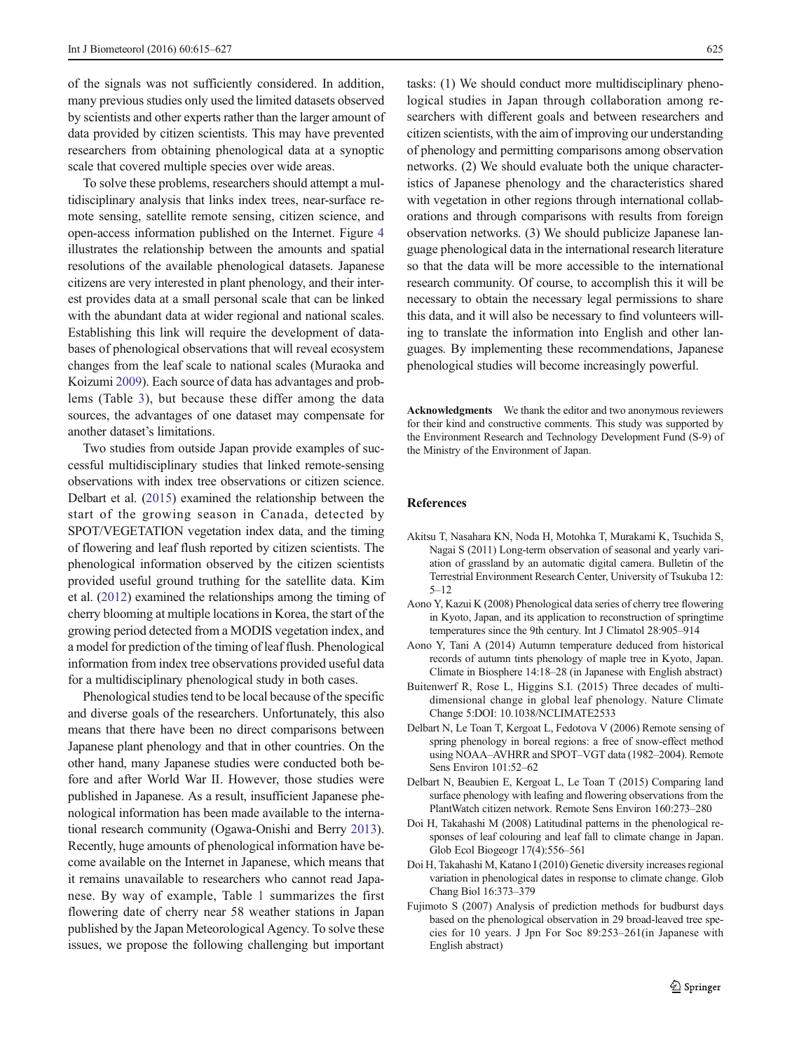<span id="page-10-0"></span>of the signals was not sufficiently considered. In addition, many previous studies only used the limited datasets observed by scientists and other experts rather than the larger amount of data provided by citizen scientists. This may have prevented researchers from obtaining phenological data at a synoptic scale that covered multiple species over wide areas.

To solve these problems, researchers should attempt a multidisciplinary analysis that links index trees, near-surface remote sensing, satellite remote sensing, citizen science, and open-access information published on the Internet. Figure [4](#page-8-0) illustrates the relationship between the amounts and spatial resolutions of the available phenological datasets. Japanese citizens are very interested in plant phenology, and their interest provides data at a small personal scale that can be linked with the abundant data at wider regional and national scales. Establishing this link will require the development of databases of phenological observations that will reveal ecosystem changes from the leaf scale to national scales (Muraoka and Koizumi [2009\)](#page-11-0). Each source of data has advantages and problems (Table [3](#page-9-0)), but because these differ among the data sources, the advantages of one dataset may compensate for another dataset's limitations.

Two studies from outside Japan provide examples of successful multidisciplinary studies that linked remote-sensing observations with index tree observations or citizen science. Delbart et al. (2015) examined the relationship between the start of the growing season in Canada, detected by SPOT/VEGETATION vegetation index data, and the timing of flowering and leaf flush reported by citizen scientists. The phenological information observed by the citizen scientists provided useful ground truthing for the satellite data. Kim et al. [\(2012\)](#page-11-0) examined the relationships among the timing of cherry blooming at multiple locations in Korea, the start of the growing period detected from a MODIS vegetation index, and a model for prediction of the timing of leaf flush. Phenological information from index tree observations provided useful data for a multidisciplinary phenological study in both cases.

Phenological studies tend to be local because of the specific and diverse goals of the researchers. Unfortunately, this also means that there have been no direct comparisons between Japanese plant phenology and that in other countries. On the other hand, many Japanese studies were conducted both before and after World War II. However, those studies were published in Japanese. As a result, insufficient Japanese phenological information has been made available to the international research community (Ogawa-Onishi and Berry [2013\)](#page-12-0). Recently, huge amounts of phenological information have become available on the Internet in Japanese, which means that it remains unavailable to researchers who cannot read Japanese. By way of example, Table [1](#page-4-0) summarizes the first flowering date of cherry near 58 weather stations in Japan published by the Japan Meteorological Agency. To solve these issues, we propose the following challenging but important

tasks: (1) We should conduct more multidisciplinary phenological studies in Japan through collaboration among researchers with different goals and between researchers and citizen scientists, with the aim of improving our understanding of phenology and permitting comparisons among observation networks. (2) We should evaluate both the unique characteristics of Japanese phenology and the characteristics shared with vegetation in other regions through international collaborations and through comparisons with results from foreign observation networks. (3) We should publicize Japanese language phenological data in the international research literature so that the data will be more accessible to the international research community. Of course, to accomplish this it will be necessary to obtain the necessary legal permissions to share this data, and it will also be necessary to find volunteers willing to translate the information into English and other languages. By implementing these recommendations, Japanese phenological studies will become increasingly powerful.

Acknowledgments We thank the editor and two anonymous reviewers for their kind and constructive comments. This study was supported by the Environment Research and Technology Development Fund (S-9) of the Ministry of the Environment of Japan.

#### References

- Akitsu T, Nasahara KN, Noda H, Motohka T, Murakami K, Tsuchida S, Nagai S (2011) Long-term observation of seasonal and yearly variation of grassland by an automatic digital camera. Bulletin of the Terrestrial Environment Research Center, University of Tsukuba 12: 5–12
- Aono Y, Kazui K (2008) Phenological data series of cherry tree flowering in Kyoto, Japan, and its application to reconstruction of springtime temperatures since the 9th century. Int J Climatol 28:905–914
- Aono Y, Tani A (2014) Autumn temperature deduced from historical records of autumn tints phenology of maple tree in Kyoto, Japan. Climate in Biosphere 14:18–28 (in Japanese with English abstract)
- Buitenwerf R, Rose L, Higgins S.I. (2015) Three decades of multidimensional change in global leaf phenology. Nature Climate Change 5:DOI: 10.1038/NCLIMATE2533
- Delbart N, Le Toan T, Kergoat L, Fedotova V (2006) Remote sensing of spring phenology in boreal regions: a free of snow-effect method using NOAA–AVHRR and SPOT–VGT data (1982–2004). Remote Sens Environ 101:52–62
- Delbart N, Beaubien E, Kergoat L, Le Toan T (2015) Comparing land surface phenology with leafing and flowering observations from the PlantWatch citizen network. Remote Sens Environ 160:273–280
- Doi H, Takahashi M (2008) Latitudinal patterns in the phenological responses of leaf colouring and leaf fall to climate change in Japan. Glob Ecol Biogeogr 17(4):556–561
- Doi H, Takahashi M, Katano I (2010) Genetic diversity increases regional variation in phenological dates in response to climate change. Glob Chang Biol 16:373–379
- Fujimoto S (2007) Analysis of prediction methods for budburst days based on the phenological observation in 29 broad-leaved tree species for 10 years. J Jpn For Soc 89:253–261(in Japanese with English abstract)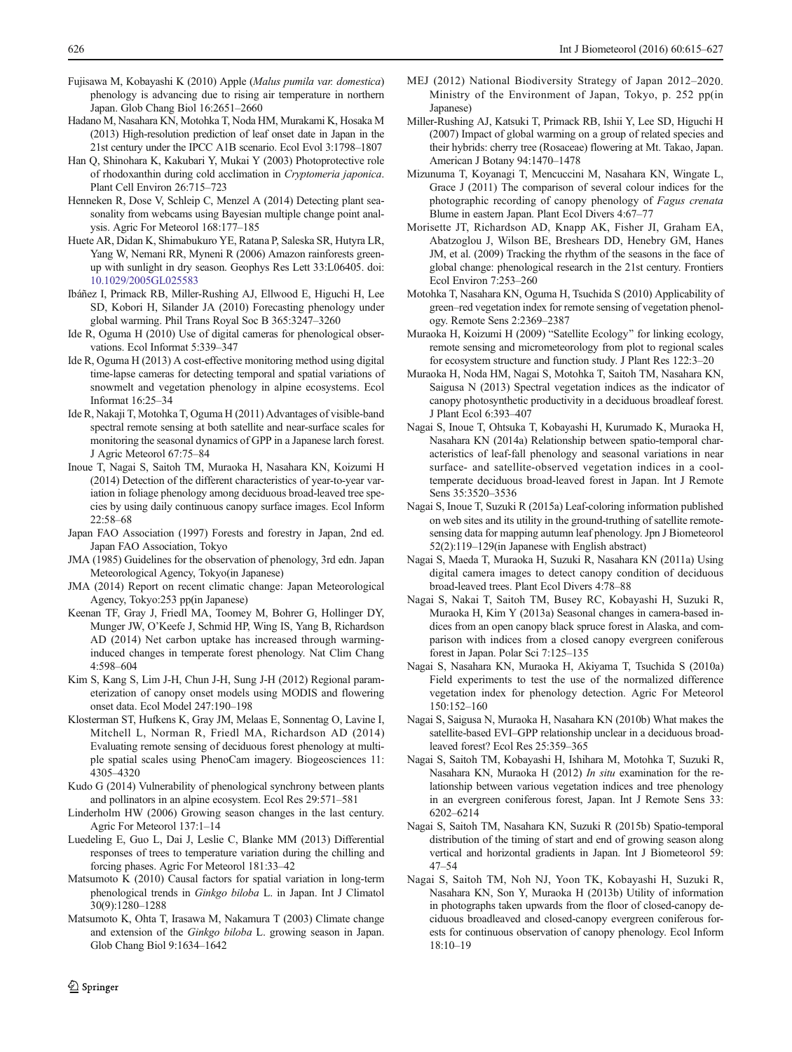- <span id="page-11-0"></span>Fujisawa M, Kobayashi K (2010) Apple (Malus pumila var. domestica) phenology is advancing due to rising air temperature in northern Japan. Glob Chang Biol 16:2651–2660
- Hadano M, Nasahara KN, Motohka T, Noda HM, Murakami K, Hosaka M (2013) High-resolution prediction of leaf onset date in Japan in the 21st century under the IPCC A1B scenario. Ecol Evol 3:1798–1807
- Han Q, Shinohara K, Kakubari Y, Mukai Y (2003) Photoprotective role of rhodoxanthin during cold acclimation in Cryptomeria japonica. Plant Cell Environ 26:715–723
- Henneken R, Dose V, Schleip C, Menzel A (2014) Detecting plant seasonality from webcams using Bayesian multiple change point analysis. Agric For Meteorol 168:177–185
- Huete AR, Didan K, Shimabukuro YE, Ratana P, Saleska SR, Hutyra LR, Yang W, Nemani RR, Myneni R (2006) Amazon rainforests greenup with sunlight in dry season. Geophys Res Lett 33:L06405. doi: [10.1029/2005GL025583](http://dx.doi.org/10.1029/2005GL025583)
- Ibáñez I, Primack RB, Miller-Rushing AJ, Ellwood E, Higuchi H, Lee SD, Kobori H, Silander JA (2010) Forecasting phenology under global warming. Phil Trans Royal Soc B 365:3247–3260
- Ide R, Oguma H (2010) Use of digital cameras for phenological observations. Ecol Informat 5:339–347
- Ide R, Oguma H (2013) A cost-effective monitoring method using digital time-lapse cameras for detecting temporal and spatial variations of snowmelt and vegetation phenology in alpine ecosystems. Ecol Informat 16:25–34
- Ide R, Nakaji T, Motohka T, Oguma H (2011) Advantages of visible-band spectral remote sensing at both satellite and near-surface scales for monitoring the seasonal dynamics of GPP in a Japanese larch forest. J Agric Meteorol 67:75–84
- Inoue T, Nagai S, Saitoh TM, Muraoka H, Nasahara KN, Koizumi H (2014) Detection of the different characteristics of year-to-year variation in foliage phenology among deciduous broad-leaved tree species by using daily continuous canopy surface images. Ecol Inform  $22.58 - 68$
- Japan FAO Association (1997) Forests and forestry in Japan, 2nd ed. Japan FAO Association, Tokyo
- JMA (1985) Guidelines for the observation of phenology, 3rd edn. Japan Meteorological Agency, Tokyo(in Japanese)
- JMA (2014) Report on recent climatic change: Japan Meteorological Agency, Tokyo:253 pp(in Japanese)
- Keenan TF, Gray J, Friedl MA, Toomey M, Bohrer G, Hollinger DY, Munger JW, O'Keefe J, Schmid HP, Wing IS, Yang B, Richardson AD (2014) Net carbon uptake has increased through warminginduced changes in temperate forest phenology. Nat Clim Chang 4:598–604
- Kim S, Kang S, Lim J-H, Chun J-H, Sung J-H (2012) Regional parameterization of canopy onset models using MODIS and flowering onset data. Ecol Model 247:190–198
- Klosterman ST, Hufkens K, Gray JM, Melaas E, Sonnentag O, Lavine I, Mitchell L, Norman R, Friedl MA, Richardson AD (2014) Evaluating remote sensing of deciduous forest phenology at multiple spatial scales using PhenoCam imagery. Biogeosciences 11: 4305–4320
- Kudo G (2014) Vulnerability of phenological synchrony between plants and pollinators in an alpine ecosystem. Ecol Res 29:571–581
- Linderholm HW (2006) Growing season changes in the last century. Agric For Meteorol 137:1–14
- Luedeling E, Guo L, Dai J, Leslie C, Blanke MM (2013) Differential responses of trees to temperature variation during the chilling and forcing phases. Agric For Meteorol 181:33–42
- Matsumoto K (2010) Causal factors for spatial variation in long-term phenological trends in Ginkgo biloba L. in Japan. Int J Climatol 30(9):1280–1288
- Matsumoto K, Ohta T, Irasawa M, Nakamura T (2003) Climate change and extension of the Ginkgo biloba L. growing season in Japan. Glob Chang Biol 9:1634–1642
- MEJ (2012) National Biodiversity Strategy of Japan 2012–2020. Ministry of the Environment of Japan, Tokyo, p. 252 pp(in Japanese)
- Miller-Rushing AJ, Katsuki T, Primack RB, Ishii Y, Lee SD, Higuchi H (2007) Impact of global warming on a group of related species and their hybrids: cherry tree (Rosaceae) flowering at Mt. Takao, Japan. American J Botany 94:1470–1478
- Mizunuma T, Koyanagi T, Mencuccini M, Nasahara KN, Wingate L, Grace J (2011) The comparison of several colour indices for the photographic recording of canopy phenology of Fagus crenata Blume in eastern Japan. Plant Ecol Divers 4:67–77
- Morisette JT, Richardson AD, Knapp AK, Fisher JI, Graham EA, Abatzoglou J, Wilson BE, Breshears DD, Henebry GM, Hanes JM, et al. (2009) Tracking the rhythm of the seasons in the face of global change: phenological research in the 21st century. Frontiers Ecol Environ 7:253–260
- Motohka T, Nasahara KN, Oguma H, Tsuchida S (2010) Applicability of green–red vegetation index for remote sensing of vegetation phenology. Remote Sens 2:2369–2387
- Muraoka H, Koizumi H (2009) "Satellite Ecology" for linking ecology, remote sensing and micrometeorology from plot to regional scales for ecosystem structure and function study. J Plant Res 122:3–20
- Muraoka H, Noda HM, Nagai S, Motohka T, Saitoh TM, Nasahara KN, Saigusa N (2013) Spectral vegetation indices as the indicator of canopy photosynthetic productivity in a deciduous broadleaf forest. J Plant Ecol 6:393–407
- Nagai S, Inoue T, Ohtsuka T, Kobayashi H, Kurumado K, Muraoka H, Nasahara KN (2014a) Relationship between spatio-temporal characteristics of leaf-fall phenology and seasonal variations in near surface- and satellite-observed vegetation indices in a cooltemperate deciduous broad-leaved forest in Japan. Int J Remote Sens 35:3520–3536
- Nagai S, Inoue T, Suzuki R (2015a) Leaf-coloring information published on web sites and its utility in the ground-truthing of satellite remotesensing data for mapping autumn leaf phenology. Jpn J Biometeorol 52(2):119–129(in Japanese with English abstract)
- Nagai S, Maeda T, Muraoka H, Suzuki R, Nasahara KN (2011a) Using digital camera images to detect canopy condition of deciduous broad-leaved trees. Plant Ecol Divers 4:78–88
- Nagai S, Nakai T, Saitoh TM, Busey RC, Kobayashi H, Suzuki R, Muraoka H, Kim Y (2013a) Seasonal changes in camera-based indices from an open canopy black spruce forest in Alaska, and comparison with indices from a closed canopy evergreen coniferous forest in Japan. Polar Sci 7:125–135
- Nagai S, Nasahara KN, Muraoka H, Akiyama T, Tsuchida S (2010a) Field experiments to test the use of the normalized difference vegetation index for phenology detection. Agric For Meteorol 150:152–160
- Nagai S, Saigusa N, Muraoka H, Nasahara KN (2010b) What makes the satellite-based EVI–GPP relationship unclear in a deciduous broadleaved forest? Ecol Res 25:359–365
- Nagai S, Saitoh TM, Kobayashi H, Ishihara M, Motohka T, Suzuki R, Nasahara KN, Muraoka H (2012) In situ examination for the relationship between various vegetation indices and tree phenology in an evergreen coniferous forest, Japan. Int J Remote Sens 33: 6202–6214
- Nagai S, Saitoh TM, Nasahara KN, Suzuki R (2015b) Spatio-temporal distribution of the timing of start and end of growing season along vertical and horizontal gradients in Japan. Int J Biometeorol 59: 47–54
- Nagai S, Saitoh TM, Noh NJ, Yoon TK, Kobayashi H, Suzuki R, Nasahara KN, Son Y, Muraoka H (2013b) Utility of information in photographs taken upwards from the floor of closed-canopy deciduous broadleaved and closed-canopy evergreen coniferous forests for continuous observation of canopy phenology. Ecol Inform 18:10–19